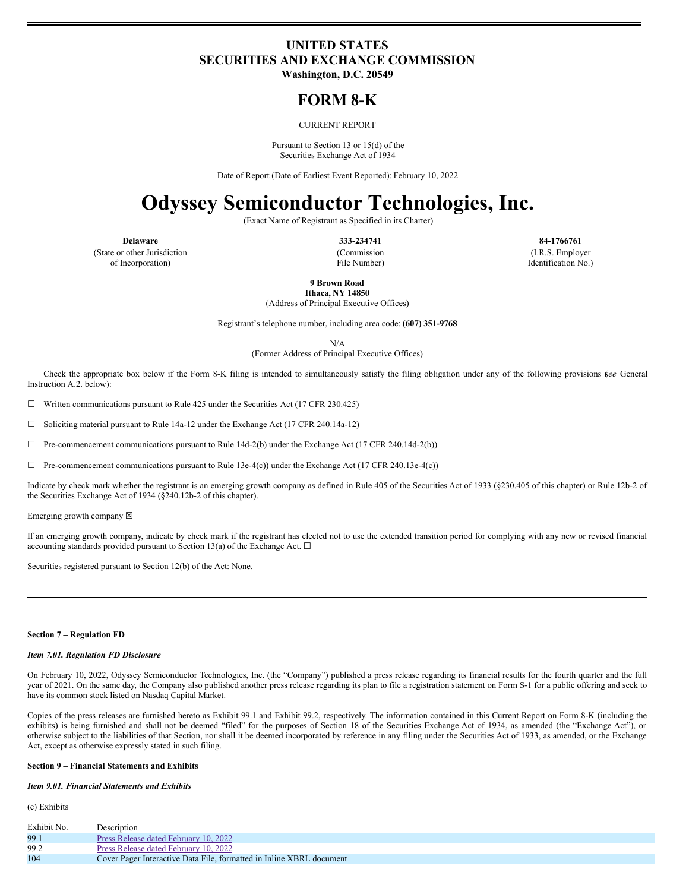### **UNITED STATES SECURITIES AND EXCHANGE COMMISSION**

**Washington, D.C. 20549**

## **FORM 8-K**

#### CURRENT REPORT

Pursuant to Section 13 or 15(d) of the Securities Exchange Act of 1934

Date of Report (Date of Earliest Event Reported): February 10, 2022

# **Odyssey Semiconductor Technologies, Inc.**

(Exact Name of Registrant as Specified in its Charter)

**Delaware 333-234741 84-1766761**

(State or other Jurisdiction of Incorporation)

(Commission File Number)

(I.R.S. Employer Identification No.)

**9 Brown Road Ithaca, NY 14850**

(Address of Principal Executive Offices)

Registrant's telephone number, including area code: **(607) 351-9768**

N/A

(Former Address of Principal Executive Offices)

Check the appropriate box below if the Form 8-K filing is intended to simultaneously satisfy the filing obligation under any of the following provisions (*see* General Instruction A.2. below):

 $\Box$  Written communications pursuant to Rule 425 under the Securities Act (17 CFR 230.425)

 $\Box$  Soliciting material pursuant to Rule 14a-12 under the Exchange Act (17 CFR 240.14a-12)

 $\Box$  Pre-commencement communications pursuant to Rule 14d-2(b) under the Exchange Act (17 CFR 240.14d-2(b))

 $\Box$  Pre-commencement communications pursuant to Rule 13e-4(c)) under the Exchange Act (17 CFR 240.13e-4(c))

Indicate by check mark whether the registrant is an emerging growth company as defined in Rule 405 of the Securities Act of 1933 (§230.405 of this chapter) or Rule 12b-2 of the Securities Exchange Act of 1934 (§240.12b-2 of this chapter).

Emerging growth company  $\boxtimes$ 

If an emerging growth company, indicate by check mark if the registrant has elected not to use the extended transition period for complying with any new or revised financial accounting standards provided pursuant to Section 13(a) of the Exchange Act.  $\Box$ 

Securities registered pursuant to Section 12(b) of the Act: None.

#### **Section 7 – Regulation FD**

#### *Item 7.01. Regulation FD Disclosure*

On February 10, 2022, Odyssey Semiconductor Technologies, Inc. (the "Company") published a press release regarding its financial results for the fourth quarter and the full year of 2021. On the same day, the Company also published another press release regarding its plan to file a registration statement on Form S-1 for a public offering and seek to have its common stock listed on Nasdaq Capital Market.

Copies of the press releases are furnished hereto as Exhibit 99.1 and Exhibit 99.2, respectively. The information contained in this Current Report on Form 8-K (including the exhibits) is being furnished and shall not be deemed "filed" for the purposes of Section 18 of the Securities Exchange Act of 1934, as amended (the "Exchange Act"), or otherwise subject to the liabilities of that Section, nor shall it be deemed incorporated by reference in any filing under the Securities Act of 1933, as amended, or the Exchange Act, except as otherwise expressly stated in such filing.

#### **Section 9 – Financial Statements and Exhibits**

#### *Item 9.01. Financial Statements and Exhibits*

(c) Exhibits

| Exhibit No. | Description                                                          |
|-------------|----------------------------------------------------------------------|
| 99.1        | Press Release dated February 10, 2022                                |
| 99.2        | Press Release dated February 10, 2022                                |
| 104         | Cover Pager Interactive Data File, formatted in Inline XBRL document |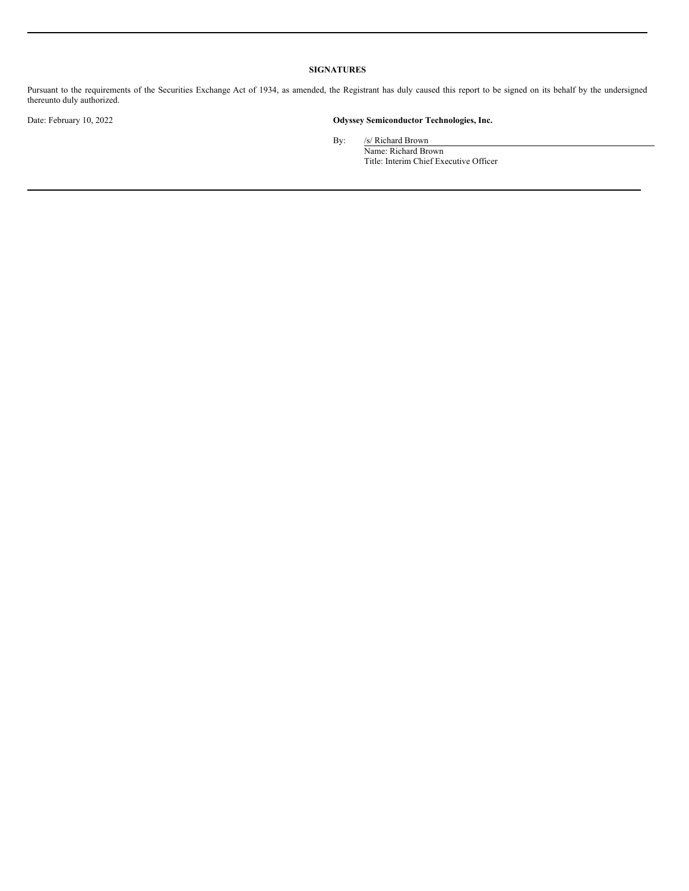#### **SIGNATURES**

Pursuant to the requirements of the Securities Exchange Act of 1934, as amended, the Registrant has duly caused this report to be signed on its behalf by the undersigned thereunto duly authorized.

Date: February 10, 2022 **Odyssey Semiconductor Technologies, Inc.**

By: /s/ Richard Brown

Name: Richard Brown Title: Interim Chief Executive Officer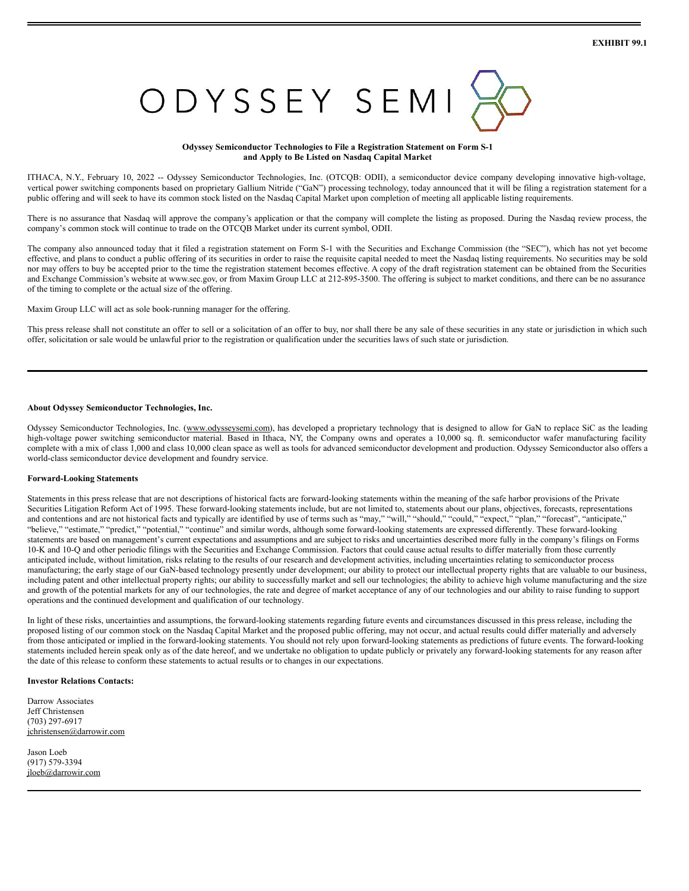<span id="page-2-0"></span>

#### **Odyssey Semiconductor Technologies to File a Registration Statement on Form S-1 and Apply to Be Listed on Nasdaq Capital Market**

ITHACA, N.Y., February 10, 2022 -- Odyssey Semiconductor Technologies, Inc. (OTCQB: ODII), a semiconductor device company developing innovative high-voltage, vertical power switching components based on proprietary Gallium Nitride ("GaN") processing technology, today announced that it will be filing a registration statement for a public offering and will seek to have its common stock listed on the Nasdaq Capital Market upon completion of meeting all applicable listing requirements.

There is no assurance that Nasdaq will approve the company's application or that the company will complete the listing as proposed. During the Nasdaq review process, the company's common stock will continue to trade on the OTCQB Market under its current symbol, ODII.

The company also announced today that it filed a registration statement on Form S-1 with the Securities and Exchange Commission (the "SEC"), which has not yet become effective, and plans to conduct a public offering of its securities in order to raise the requisite capital needed to meet the Nasdaq listing requirements. No securities may be sold nor may offers to buy be accepted prior to the time the registration statement becomes effective. A copy of the draft registration statement can be obtained from the Securities and Exchange Commission's website at www.sec.gov, or from Maxim Group LLC at 212-895-3500. The offering is subject to market conditions, and there can be no assurance of the timing to complete or the actual size of the offering.

Maxim Group LLC will act as sole book-running manager for the offering.

This press release shall not constitute an offer to sell or a solicitation of an offer to buy, nor shall there be any sale of these securities in any state or jurisdiction in which such offer, solicitation or sale would be unlawful prior to the registration or qualification under the securities laws of such state or jurisdiction.

#### **About Odyssey Semiconductor Technologies, Inc.**

Odyssey Semiconductor Technologies, Inc. (www.odysseysemi.com), has developed a proprietary technology that is designed to allow for GaN to replace SiC as the leading high-voltage power switching semiconductor material. Based in Ithaca, NY, the Company owns and operates a 10,000 sq. ft. semiconductor wafer manufacturing facility complete with a mix of class 1,000 and class 10,000 clean space as well as tools for advanced semiconductor development and production. Odyssey Semiconductor also offers a world-class semiconductor device development and foundry service.

#### **Forward-Looking Statements**

Statements in this press release that are not descriptions of historical facts are forward-looking statements within the meaning of the safe harbor provisions of the Private Securities Litigation Reform Act of 1995. These forward-looking statements include, but are not limited to, statements about our plans, objectives, forecasts, representations and contentions and are not historical facts and typically are identified by use of terms such as "may," "will," "should," "could," "expect," "plan," "forecast", "anticipate," "believe," "estimate," "predict," "potential," "continue" and similar words, although some forward-looking statements are expressed differently. These forward-looking statements are based on management's current expectations and assumptions and are subject to risks and uncertainties described more fully in the company's filings on Forms 10-K and 10-Q and other periodic filings with the Securities and Exchange Commission. Factors that could cause actual results to differ materially from those currently anticipated include, without limitation, risks relating to the results of our research and development activities, including uncertainties relating to semiconductor process manufacturing; the early stage of our GaN-based technology presently under development; our ability to protect our intellectual property rights that are valuable to our business, including patent and other intellectual property rights; our ability to successfully market and sell our technologies; the ability to achieve high volume manufacturing and the size and growth of the potential markets for any of our technologies, the rate and degree of market acceptance of any of our technologies and our ability to raise funding to support operations and the continued development and qualification of our technology.

In light of these risks, uncertainties and assumptions, the forward-looking statements regarding future events and circumstances discussed in this press release, including the proposed listing of our common stock on the Nasdaq Capital Market and the proposed public offering, may not occur, and actual results could differ materially and adversely from those anticipated or implied in the forward-looking statements. You should not rely upon forward-looking statements as predictions of future events. The forward-looking statements included herein speak only as of the date hereof, and we undertake no obligation to update publicly or privately any forward-looking statements for any reason after the date of this release to conform these statements to actual results or to changes in our expectations.

#### **Investor Relations Contacts:**

Darrow Associates Jeff Christensen (703) 297-6917 jchristensen@darrowir.com

Jason Loeb (917) 579-3394 jloeb@darrowir.com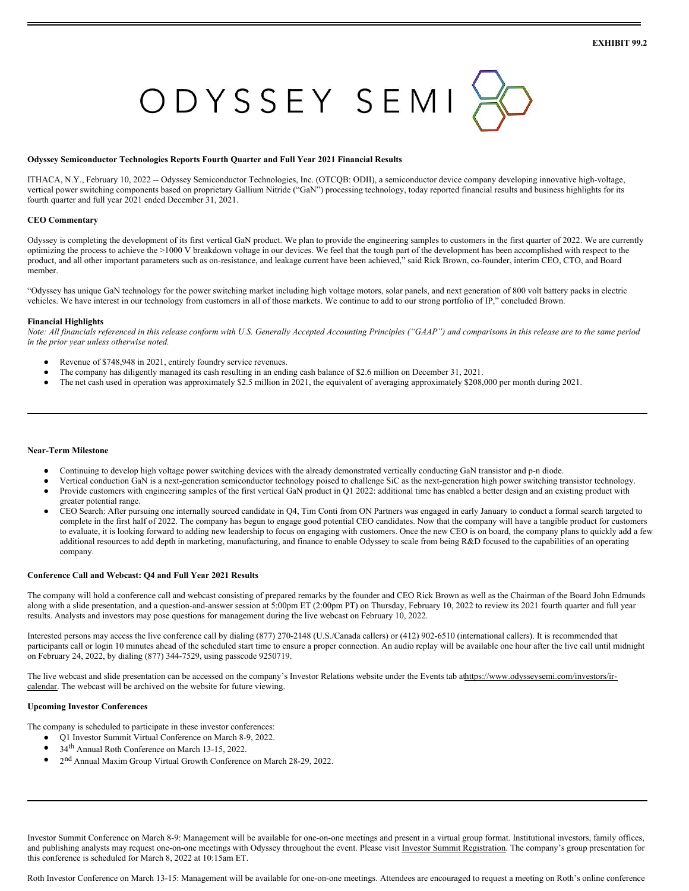# ODYSSEY SEMI

#### **Odyssey Semiconductor Technologies Reports Fourth Quarter and Full Year 2021 Financial Results**

ITHACA, N.Y., February 10, 2022 -- Odyssey Semiconductor Technologies, Inc. (OTCQB: ODII), a semiconductor device company developing innovative high-voltage, vertical power switching components based on proprietary Gallium Nitride ("GaN") processing technology, today reported financial results and business highlights for its fourth quarter and full year 2021 ended December 31, 2021.

#### **CEO Commentary**

Odyssey is completing the development of its first vertical GaN product. We plan to provide the engineering samples to customers in the first quarter of 2022. We are currently optimizing the process to achieve the >1000 V breakdown voltage in our devices. We feel that the tough part of the development has been accomplished with respect to the product, and all other important parameters such as on-resistance, and leakage current have been achieved," said Rick Brown, co-founder, interim CEO, CTO, and Board member.

"Odyssey has unique GaN technology for the power switching market including high voltage motors, solar panels, and next generation of 800 volt battery packs in electric vehicles. We have interest in our technology from customers in all of those markets. We continue to add to our strong portfolio of IP," concluded Brown.

#### **Financial Highlights**

Note: All financials referenced in this release conform with U.S. Generally Accepted Accounting Principles ("GAAP") and comparisons in this release are to the same period *in the prior year unless otherwise noted.*

- Revenue of \$748,948 in 2021, entirely foundry service revenues.
- The company has diligently managed its cash resulting in an ending cash balance of \$2.6 million on December 31, 2021.
- The net cash used in operation was approximately \$2.5 million in 2021, the equivalent of averaging approximately \$208,000 per month during 2021.

#### **Near-Term Milestone**

- Continuing to develop high voltage power switching devices with the already demonstrated vertically conducting GaN transistor and p-n diode.
- Vertical conduction GaN is a next-generation semiconductor technology poised to challenge SiC as the next-generation high power switching transistor technology. Provide customers with engineering samples of the first vertical GaN product in Q1 2022: additional time has enabled a better design and an existing product with
- greater potential range. CEO Search: After pursuing one internally sourced candidate in Q4, Tim Conti from ON Partners was engaged in early January to conduct a formal search targeted to
- complete in the first half of 2022. The company has begun to engage good potential CEO candidates. Now that the company will have a tangible product for customers to evaluate, it is looking forward to adding new leadership to focus on engaging with customers. Once the new CEO is on board, the company plans to quickly add a few additional resources to add depth in marketing, manufacturing, and finance to enable Odyssey to scale from being R&D focused to the capabilities of an operating company.

#### **Conference Call and Webcast: Q4 and Full Year 2021 Results**

The company will hold a conference call and webcast consisting of prepared remarks by the founder and CEO Rick Brown as well as the Chairman of the Board John Edmunds along with a slide presentation, and a question-and-answer session at 5:00pm ET (2:00pm PT) on Thursday, February 10, 2022 to review its 2021 fourth quarter and full year results. Analysts and investors may pose questions for management during the live webcast on February 10, 2022.

Interested persons may access the live conference call by dialing (877) 270-2148 (U.S./Canada callers) or (412) 902-6510 (international callers). It is recommended that participants call or login 10 minutes ahead of the scheduled start time to ensure a proper connection. An audio replay will be available one hour after the live call until midnight on February 24, 2022, by dialing (877) 344-7529, using passcode 9250719.

The live webcast and slide presentation can be accessed on the company's Investor Relations website under the Events tab athttps://www.odysseysemi.com/investors/ircalendar. The webcast will be archived on the website for future viewing.

#### **Upcoming Investor Conferences**

The company is scheduled to participate in these investor conferences:

- Q1 Investor Summit Virtual Conference on March 8-9, 2022.
	- 34<sup>th</sup> Annual Roth Conference on March 13-15, 2022.
	- 2<sup>nd</sup> Annual Maxim Group Virtual Growth Conference on March 28-29, 2022.

Investor Summit Conference on March 8-9: Management will be available for one-on-one meetings and present in a virtual group format. Institutional investors, family offices, and publishing analysts may request one-on-one meetings with Odyssey throughout the event. Please visit Investor Summit Registration. The company's group presentation for this conference is scheduled for March 8, 2022 at 10:15am ET.

Roth Investor Conference on March 13-15: Management will be available for one-on-one meetings. Attendees are encouraged to request a meeting on Roth's online conference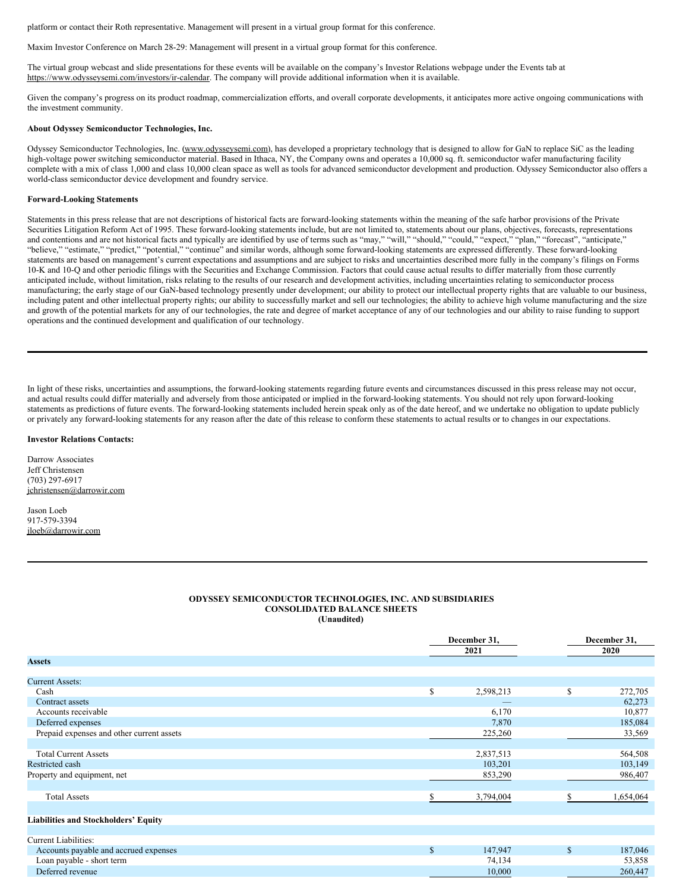<span id="page-4-0"></span>platform or contact their Roth representative. Management will present in a virtual group format for this conference.

Maxim Investor Conference on March 28-29: Management will present in a virtual group format for this conference.

The virtual group webcast and slide presentations for these events will be available on the company's Investor Relations webpage under the Events tab at https://www.odysseysemi.com/investors/ir-calendar. The company will provide additional information when it is available.

Given the company's progress on its product roadmap, commercialization efforts, and overall corporate developments, it anticipates more active ongoing communications with the investment community.

#### **About Odyssey Semiconductor Technologies, Inc.**

Odyssey Semiconductor Technologies, Inc. (www.odysseysemi.com), has developed a proprietary technology that is designed to allow for GaN to replace SiC as the leading high-voltage power switching semiconductor material. Based in Ithaca, NY, the Company owns and operates a 10,000 sq. ft. semiconductor wafer manufacturing facility complete with a mix of class 1,000 and class 10,000 clean space as well as tools for advanced semiconductor development and production. Odyssey Semiconductor also offers a world-class semiconductor device development and foundry service.

#### **Forward-Looking Statements**

Statements in this press release that are not descriptions of historical facts are forward-looking statements within the meaning of the safe harbor provisions of the Private Securities Litigation Reform Act of 1995. These forward-looking statements include, but are not limited to, statements about our plans, objectives, forecasts, representations and contentions and are not historical facts and typically are identified by use of terms such as "may," "will," "should," "could," "expect," "plan," "forecast", "anticipate," "believe," "estimate," "predict," "potential," "continue" and similar words, although some forward-looking statements are expressed differently. These forward-looking statements are based on management's current expectations and assumptions and are subject to risks and uncertainties described more fully in the company's filings on Forms 10-K and 10-Q and other periodic filings with the Securities and Exchange Commission. Factors that could cause actual results to differ materially from those currently anticipated include, without limitation, risks relating to the results of our research and development activities, including uncertainties relating to semiconductor process manufacturing; the early stage of our GaN-based technology presently under development; our ability to protect our intellectual property rights that are valuable to our business, including patent and other intellectual property rights; our ability to successfully market and sell our technologies; the ability to achieve high volume manufacturing and the size and growth of the potential markets for any of our technologies, the rate and degree of market acceptance of any of our technologies and our ability to raise funding to support operations and the continued development and qualification of our technology.

In light of these risks, uncertainties and assumptions, the forward-looking statements regarding future events and circumstances discussed in this press release may not occur, and actual results could differ materially and adversely from those anticipated or implied in the forward-looking statements. You should not rely upon forward-looking statements as predictions of future events. The forward-looking statements included herein speak only as of the date hereof, and we undertake no obligation to update publicly or privately any forward-looking statements for any reason after the date of this release to conform these statements to actual results or to changes in our expectations.

#### **Investor Relations Contacts:**

Darrow Associates Jeff Christensen (703) 297-6917 jchristensen@darrowir.com

Jason Loeb 917-579-3394 jloeb@darrowir.com

#### **ODYSSEY SEMICONDUCTOR TECHNOLOGIES, INC. AND SUBSIDIARIES CONSOLIDATED BALANCE SHEETS (Unaudited)**

|                                             |               | December 31,<br>2021 |     | December 31,<br>2020 |  |
|---------------------------------------------|---------------|----------------------|-----|----------------------|--|
|                                             |               |                      |     |                      |  |
| <b>Assets</b>                               |               |                      |     |                      |  |
|                                             |               |                      |     |                      |  |
| <b>Current Assets:</b>                      |               |                      |     |                      |  |
| Cash                                        | \$            | 2,598,213            | \$  | 272,705              |  |
| Contract assets                             |               |                      |     | 62,273               |  |
| Accounts receivable                         |               | 6,170                |     | 10,877               |  |
| Deferred expenses                           |               | 7,870                |     | 185,084              |  |
| Prepaid expenses and other current assets   |               | 225,260              |     | 33,569               |  |
|                                             |               |                      |     |                      |  |
| <b>Total Current Assets</b>                 |               | 2,837,513            |     | 564,508              |  |
| Restricted cash                             |               | 103,201              |     | 103,149              |  |
| Property and equipment, net                 |               | 853,290              |     | 986,407              |  |
|                                             |               |                      |     |                      |  |
| <b>Total Assets</b>                         | \$            | 3,794,004            |     | 1,654,064            |  |
|                                             |               |                      |     |                      |  |
| <b>Liabilities and Stockholders' Equity</b> |               |                      |     |                      |  |
|                                             |               |                      |     |                      |  |
| <b>Current Liabilities:</b>                 |               |                      |     |                      |  |
|                                             | $\mathcal{S}$ |                      | \$. | 187,046              |  |
| Accounts payable and accrued expenses       |               | 147,947              |     |                      |  |
| Loan payable - short term                   |               | 74,134               |     | 53,858               |  |
| Deferred revenue                            |               | 10,000               |     | 260,447              |  |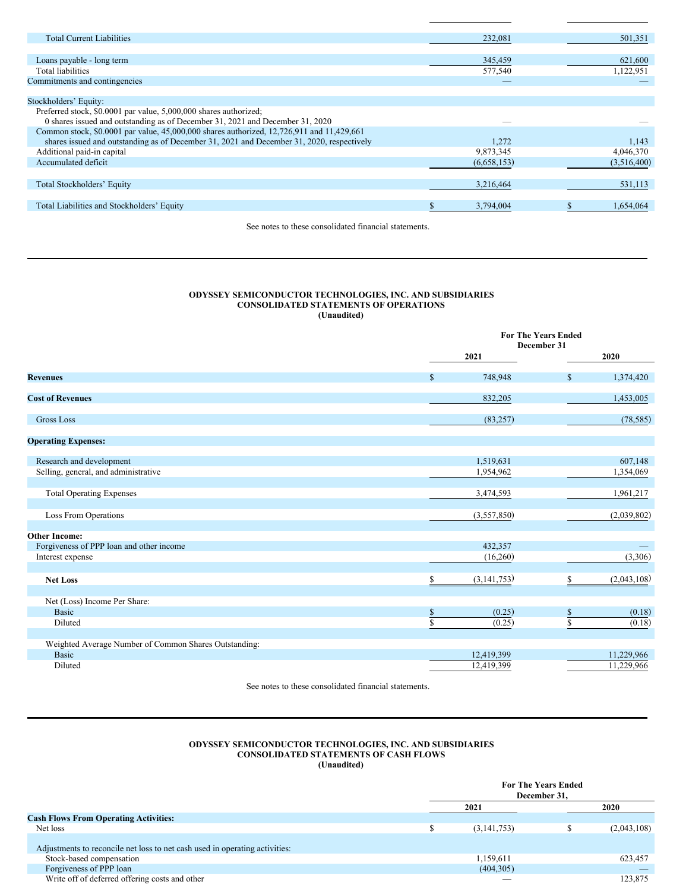| <b>Total Current Liabilities</b>                                                          | 232,081     | 501,351     |
|-------------------------------------------------------------------------------------------|-------------|-------------|
|                                                                                           |             |             |
| Loans payable - long term                                                                 | 345,459     | 621,600     |
| Total liabilities                                                                         | 577,540     | 1,122,951   |
| Commitments and contingencies                                                             |             |             |
|                                                                                           |             |             |
| Stockholders' Equity:                                                                     |             |             |
| Preferred stock, \$0.0001 par value, 5,000,000 shares authorized;                         |             |             |
| 0 shares issued and outstanding as of December 31, 2021 and December 31, 2020             |             |             |
| Common stock, \$0,0001 par value, 45,000,000 shares authorized, 12,726,911 and 11,429,661 |             |             |
| shares issued and outstanding as of December 31, 2021 and December 31, 2020, respectively | 1,272       | 1,143       |
| Additional paid-in capital                                                                | 9,873,345   | 4,046,370   |
| Accumulated deficit                                                                       | (6,658,153) | (3,516,400) |
|                                                                                           |             |             |
| Total Stockholders' Equity                                                                | 3,216,464   | 531,113     |
|                                                                                           |             |             |
| Total Liabilities and Stockholders' Equity                                                | 3,794,004   | 1.654.064   |
|                                                                                           |             |             |

See notes to these consolidated financial statements.

#### **ODYSSEY SEMICONDUCTOR TECHNOLOGIES, INC. AND SUBSIDIARIES CONSOLIDATED STATEMENTS OF OPERATIONS (Unaudited)**

|                                                                  |                                          | <b>For The Years Ended</b><br>December 31 |  |  |
|------------------------------------------------------------------|------------------------------------------|-------------------------------------------|--|--|
|                                                                  | 2021                                     | 2020                                      |  |  |
| <b>Revenues</b>                                                  | \$<br>748,948                            | 1,374,420<br>$\mathbb{S}$                 |  |  |
| <b>Cost of Revenues</b>                                          | 832,205                                  | 1,453,005                                 |  |  |
| <b>Gross Loss</b>                                                | (83, 257)                                | (78, 585)                                 |  |  |
| <b>Operating Expenses:</b>                                       |                                          |                                           |  |  |
| Research and development<br>Selling, general, and administrative | 1,519,631<br>1,954,962                   | 607,148<br>1,354,069                      |  |  |
| <b>Total Operating Expenses</b>                                  | 3,474,593                                | 1,961,217                                 |  |  |
| Loss From Operations                                             | (3,557,850)                              | (2,039,802)                               |  |  |
| <b>Other Income:</b>                                             |                                          |                                           |  |  |
| Forgiveness of PPP loan and other income<br>Interest expense     | 432,357<br>(16,260)                      | (3,306)                                   |  |  |
| <b>Net Loss</b>                                                  | \$<br>(3, 141, 753)                      | (2,043,108)<br>\$                         |  |  |
| Net (Loss) Income Per Share:                                     |                                          |                                           |  |  |
| <b>Basic</b><br>Diluted                                          | \$<br>(0.25)<br>$\overline{s}$<br>(0.25) | (0.18)<br>$\mathbb{S}$<br>\$<br>(0.18)    |  |  |
| Weighted Average Number of Common Shares Outstanding:            |                                          |                                           |  |  |
| <b>Basic</b>                                                     | 12,419,399                               | 11,229,966                                |  |  |
| Diluted                                                          | 12,419,399                               | 11,229,966                                |  |  |

See notes to these consolidated financial statements.

#### **ODYSSEY SEMICONDUCTOR TECHNOLOGIES, INC. AND SUBSIDIARIES CONSOLIDATED STATEMENTS OF CASH FLOWS (Unaudited)**

|                                                                             |   | <b>For The Years Ended</b><br>December 31. |  |             |  |
|-----------------------------------------------------------------------------|---|--------------------------------------------|--|-------------|--|
|                                                                             |   | 2021                                       |  | 2020        |  |
| <b>Cash Flows From Operating Activities:</b>                                |   |                                            |  |             |  |
| Net loss                                                                    | S | (3,141,753)                                |  | (2,043,108) |  |
| Adjustments to reconcile net loss to net cash used in operating activities: |   |                                            |  |             |  |
| Stock-based compensation                                                    |   | 1,159,611                                  |  | 623,457     |  |
| Forgiveness of PPP loan                                                     |   | (404, 305)                                 |  |             |  |
| Write off of deferred offering costs and other                              |   |                                            |  | 123,875     |  |